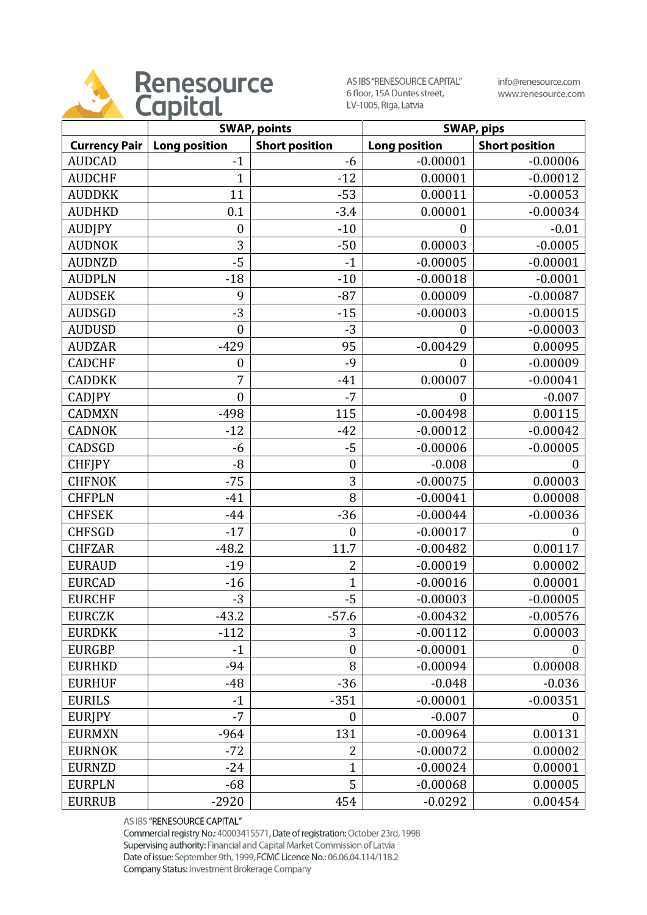

AS IBS "RENESOURCE CAPITAL" 6 floor, 15A Duntes street, LV-1005, Riga, Latvia

info@renesource.com www.renesource.com

|                      | <b>SWAP, points</b>  |                       | <b>SWAP, pips</b>    |                       |
|----------------------|----------------------|-----------------------|----------------------|-----------------------|
| <b>Currency Pair</b> | <b>Long position</b> | <b>Short position</b> | <b>Long position</b> | <b>Short position</b> |
| <b>AUDCAD</b>        | $-1$                 | -6                    | $-0.00001$           | $-0.00006$            |
| <b>AUDCHF</b>        | $\mathbf{1}$         | $-12$                 | 0.00001              | $-0.00012$            |
| <b>AUDDKK</b>        | 11                   | $-53$                 | 0.00011              | $-0.00053$            |
| <b>AUDHKD</b>        | 0.1                  | $-3.4$                | 0.00001              | $-0.00034$            |
| <b>AUDJPY</b>        | $\boldsymbol{0}$     | $-10$                 | $\boldsymbol{0}$     | $-0.01$               |
| <b>AUDNOK</b>        | 3                    | $-50$                 | 0.00003              | $-0.0005$             |
| <b>AUDNZD</b>        | $-5$                 | $-1$                  | $-0.00005$           | $-0.00001$            |
| <b>AUDPLN</b>        | $-18$                | $-10$                 | $-0.00018$           | $-0.0001$             |
| <b>AUDSEK</b>        | 9                    | $-87$                 | 0.00009              | $-0.00087$            |
| <b>AUDSGD</b>        | $-3$                 | $-15$                 | $-0.00003$           | $-0.00015$            |
| <b>AUDUSD</b>        | $\mathbf{0}$         | $-3$                  | $\boldsymbol{0}$     | $-0.00003$            |
| <b>AUDZAR</b>        | $-429$               | 95                    | $-0.00429$           | 0.00095               |
| <b>CADCHF</b>        | $\boldsymbol{0}$     | $-9$                  | $\boldsymbol{0}$     | $-0.00009$            |
| <b>CADDKK</b>        | 7                    | $-41$                 | 0.00007              | $-0.00041$            |
| <b>CADJPY</b>        | $\boldsymbol{0}$     | $-7$                  | $\boldsymbol{0}$     | $-0.007$              |
| <b>CADMXN</b>        | $-498$               | 115                   | $-0.00498$           | 0.00115               |
| <b>CADNOK</b>        | $-12$                | $-42$                 | $-0.00012$           | $-0.00042$            |
| CADSGD               | $-6$                 | $-5$                  | $-0.00006$           | $-0.00005$            |
| <b>CHFJPY</b>        | $-8$                 | $\boldsymbol{0}$      | $-0.008$             | $\overline{0}$        |
| <b>CHFNOK</b>        | $-75$                | 3                     | $-0.00075$           | 0.00003               |
| <b>CHFPLN</b>        | $-41$                | 8                     | $-0.00041$           | 0.00008               |
| <b>CHFSEK</b>        | $-44$                | $-36$                 | $-0.00044$           | $-0.00036$            |
| <b>CHFSGD</b>        | $-17$                | $\boldsymbol{0}$      | $-0.00017$           | $\theta$              |
| <b>CHFZAR</b>        | $-48.2$              | 11.7                  | $-0.00482$           | 0.00117               |
| <b>EURAUD</b>        | $-19$                | $\overline{2}$        | $-0.00019$           | 0.00002               |
| <b>EURCAD</b>        | $-16$                | $\mathbf{1}$          | $-0.00016$           | 0.00001               |
| <b>EURCHF</b>        | $-3$                 | $-5$                  | $-0.00003$           | $-0.00005$            |
| <b>EURCZK</b>        | $-43.2$              | $-57.6$               | $-0.00432$           | $-0.00576$            |
| <b>EURDKK</b>        | $-112$               | 3                     | $-0.00112$           | 0.00003               |
| <b>EURGBP</b>        | $-1$                 | $\boldsymbol{0}$      | $-0.00001$           | 0                     |
| <b>EURHKD</b>        | $-94$                | 8                     | $-0.00094$           | 0.00008               |
| <b>EURHUF</b>        | $-48$                | $-36$                 | $-0.048$             | $-0.036$              |
| <b>EURILS</b>        | $-1$                 | $-351$                | $-0.00001$           | $-0.00351$            |
| <b>EURIPY</b>        | $-7$                 | $\boldsymbol{0}$      | $-0.007$             | 0                     |
| <b>EURMXN</b>        | $-964$               | 131                   | $-0.00964$           | 0.00131               |
| <b>EURNOK</b>        | $-72$                | $\overline{2}$        | $-0.00072$           | 0.00002               |
| <b>EURNZD</b>        | $-24$                | 1                     | $-0.00024$           | 0.00001               |
| <b>EURPLN</b>        | $-68$                | 5                     | $-0.00068$           | 0.00005               |
| <b>EURRUB</b>        | $-2920$              | 454                   | $-0.0292$            | 0.00454               |

AS IBS "RENESOURCE CAPITAL"

Commercial registry No.: 40003415571, Date of registration: October 23rd, 1998 Supervising authority: Financial and Capital Market Commission of Latvia Date of issue: September 9th, 1999, FCMC Licence No.: 06.06.04.114/118.2 Company Status: Investment Brokerage Company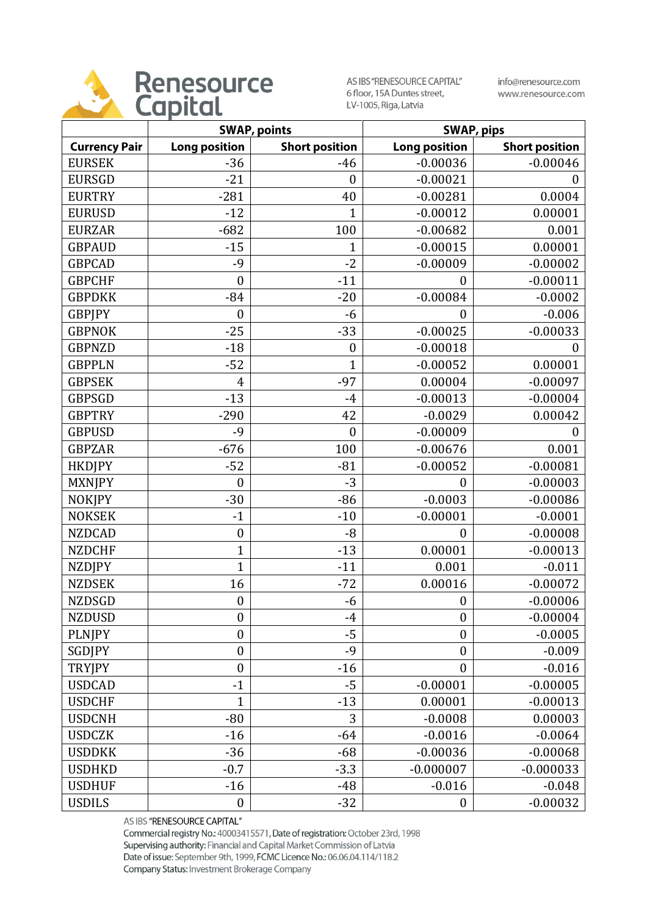

AS IBS "RENESOURCE CAPITAL" 6 floor, 15A Duntes street, LV-1005, Riga, Latvia

info@renesource.com www.renesource.com

|                      | <b>SWAP, points</b>  |                       | <b>SWAP, pips</b>    |                       |
|----------------------|----------------------|-----------------------|----------------------|-----------------------|
| <b>Currency Pair</b> | <b>Long position</b> | <b>Short position</b> | <b>Long position</b> | <b>Short position</b> |
| <b>EURSEK</b>        | $-36$                | $-46$                 | $-0.00036$           | $-0.00046$            |
| <b>EURSGD</b>        | $-21$                | $\boldsymbol{0}$      | $-0.00021$           |                       |
| <b>EURTRY</b>        | $-281$               | 40                    | $-0.00281$           | 0.0004                |
| <b>EURUSD</b>        | $-12$                | 1                     | $-0.00012$           | 0.00001               |
| <b>EURZAR</b>        | $-682$               | 100                   | $-0.00682$           | 0.001                 |
| <b>GBPAUD</b>        | $-15$                | $\mathbf{1}$          | $-0.00015$           | 0.00001               |
| <b>GBPCAD</b>        | $-9$                 | $-2$                  | $-0.00009$           | $-0.00002$            |
| <b>GBPCHF</b>        | $\boldsymbol{0}$     | $-11$                 | $\mathbf{0}$         | $-0.00011$            |
| <b>GBPDKK</b>        | $-84$                | $-20$                 | $-0.00084$           | $-0.0002$             |
| <b>GBPJPY</b>        | $\boldsymbol{0}$     | $-6$                  | $\boldsymbol{0}$     | $-0.006$              |
| <b>GBPNOK</b>        | $-25$                | $-33$                 | $-0.00025$           | $-0.00033$            |
| <b>GBPNZD</b>        | $-18$                | $\boldsymbol{0}$      | $-0.00018$           |                       |
| <b>GBPPLN</b>        | $-52$                | $\mathbf{1}$          | $-0.00052$           | 0.00001               |
| <b>GBPSEK</b>        | 4                    | $-97$                 | 0.00004              | $-0.00097$            |
| <b>GBPSGD</b>        | $-13$                | $-4$                  | $-0.00013$           | $-0.00004$            |
| <b>GBPTRY</b>        | $-290$               | 42                    | $-0.0029$            | 0.00042               |
| <b>GBPUSD</b>        | $-9$                 | $\boldsymbol{0}$      | $-0.00009$           | 0                     |
| <b>GBPZAR</b>        | $-676$               | 100                   | $-0.00676$           | 0.001                 |
| <b>HKDJPY</b>        | $-52$                | $-81$                 | $-0.00052$           | $-0.00081$            |
| <b>MXNJPY</b>        | $\mathbf{0}$         | $-3$                  | $\overline{0}$       | $-0.00003$            |
| <b>NOKJPY</b>        | $-30$                | $-86$                 | $-0.0003$            | $-0.00086$            |
| <b>NOKSEK</b>        | $-1$                 | $-10$                 | $-0.00001$           | $-0.0001$             |
| <b>NZDCAD</b>        | $\boldsymbol{0}$     | $-8$                  | $\mathbf{0}$         | $-0.00008$            |
| <b>NZDCHF</b>        | $\overline{1}$       | $-13$                 | 0.00001              | $-0.00013$            |
| <b>NZDJPY</b>        | $\mathbf{1}$         | $-11$                 | 0.001                | $-0.011$              |
| <b>NZDSEK</b>        | 16                   | $-72$                 | 0.00016              | $-0.00072$            |
| <b>NZDSGD</b>        | $\boldsymbol{0}$     | $-6$                  | $\boldsymbol{0}$     | $-0.00006$            |
| <b>NZDUSD</b>        | $\boldsymbol{0}$     | $-4$                  | $\boldsymbol{0}$     | $-0.00004$            |
| <b>PLNJPY</b>        | $\boldsymbol{0}$     | $-5$                  | $\boldsymbol{0}$     | $-0.0005$             |
| SGDJPY               | $\boldsymbol{0}$     | $-9$                  | $\boldsymbol{0}$     | $-0.009$              |
| <b>TRYJPY</b>        | $\boldsymbol{0}$     | $-16$                 | $\overline{0}$       | $-0.016$              |
| <b>USDCAD</b>        | $-1$                 | $-5$                  | $-0.00001$           | $-0.00005$            |
| <b>USDCHF</b>        | $\mathbf{1}$         | $-13$                 | 0.00001              | $-0.00013$            |
| <b>USDCNH</b>        | $-80$                | 3                     | $-0.0008$            | 0.00003               |
| <b>USDCZK</b>        | $-16$                | $-64$                 | $-0.0016$            | $-0.0064$             |
| <b>USDDKK</b>        | $-36$                | $-68$                 | $-0.00036$           | $-0.00068$            |
| <b>USDHKD</b>        | $-0.7$               | $-3.3$                | $-0.000007$          | $-0.000033$           |
| <b>USDHUF</b>        | $-16$                | $-48$                 | $-0.016$             | $-0.048$              |
| <b>USDILS</b>        | $\boldsymbol{0}$     | $-32$                 | $\boldsymbol{0}$     | $-0.00032$            |

AS IBS "RENESOURCE CAPITAL"

Commercial registry No.: 40003415571, Date of registration: October 23rd, 1998 Supervising authority: Financial and Capital Market Commission of Latvia Date of issue: September 9th, 1999, FCMC Licence No.: 06.06.04.114/118.2 Company Status: Investment Brokerage Company